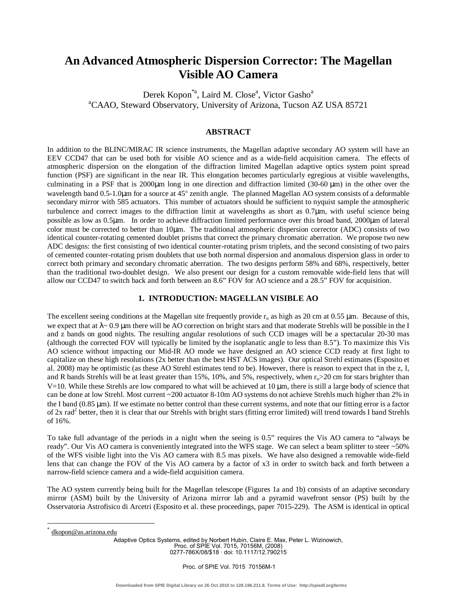# **An Advanced Atmospheric Dispersion Corrector: The Magellan Visible AO Camera**

Derek Kopon<sup>\*a</sup>, Laird M. Close<sup>a</sup>, Victor Gasho<sup>a</sup> <sup>a</sup>CAAO, Steward Observatory, University of Arizona, Tucson AZ USA 85721

## **ABSTRACT**

In addition to the BLINC/MIRAC IR science instruments, the Magellan adaptive secondary AO system will have an EEV CCD47 that can be used both for visible AO science and as a wide-field acquisition camera. The effects of atmospheric dispersion on the elongation of the diffraction limited Magellan adaptive optics system point spread function (PSF) are significant in the near IR. This elongation becomes particularly egregious at visible wavelengths, culminating in a PSF that is  $2000\mu$ m long in one direction and diffraction limited  $(30-60 \mu m)$  in the other over the wavelength band  $0.5$ -1.0 $\mu$ m for a source at 45 $^{\circ}$  zenith angle. The planned Magellan AO system consists of a deformable secondary mirror with 585 actuators. This number of actuators should be sufficient to nyquist sample the atmospheric turbulence and correct images to the diffraction limit at wavelengths as short as 0.7µm, with useful science being possible as low as 0.5µm. In order to achieve diffraction limited performance over this broad band, 2000µm of lateral color must be corrected to better than 10µm. The traditional atmospheric dispersion corrector (ADC) consists of two identical counter-rotating cemented doublet prisms that correct the primary chromatic aberration. We propose two new ADC designs: the first consisting of two identical counter-rotating prism triplets, and the second consisting of two pairs of cemented counter-rotating prism doublets that use both normal dispersion and anomalous dispersion glass in order to correct both primary and secondary chromatic aberration. The two designs perform 58% and 68%, respectively, better than the traditional two-doublet design. We also present our design for a custom removable wide-field lens that will allow our CCD47 to switch back and forth between an 8.6" FOV for AO science and a 28.5" FOV for acquisition.

#### **1. INTRODUCTION: MAGELLAN VISIBLE AO**

The excellent seeing conditions at the Magellan site frequently provide  $r_0$  as high as 20 cm at 0.55  $\mu$ m. Because of this, we expect that at  $\lambda \sim 0.9$  µm there will be AO correction on bright stars and that moderate Strehls will be possible in the I and z bands on good nights. The resulting angular resolutions of such CCD images will be a spectacular 20-30 mas (although the corrected FOV will typically be limited by the isoplanatic angle to less than 8.5"). To maximize this Vis AO science without impacting our Mid-IR AO mode we have designed an AO science CCD ready at first light to capitalize on these high resolutions (2x better than the best HST ACS images). Our optical Strehl estimates (Esposito et al. 2008) may be optimistic (as these AO Strehl estimates tend to be). However, there is reason to expect that in the z, I, and R bands Strehls will be at least greater than 15%, 10%, and 5%, respectively, when  $r_0 > 20$  cm for stars brighter than  $V=10$ . While these Strehls are low compared to what will be achieved at  $10 \mu m$ , there is still a large body of science that can be done at low Strehl. Most current ~200 actuator 8-10m AO systems do not achieve Strehls much higher than 2% in the I band (0.85 µm). If we estimate no better control than these current systems, and note that our fitting error is a factor of 2x rad<sup>2</sup> better, then it is clear that our Strehls with bright stars (fitting error limited) will trend towards I band Strehls of 16%.

To take full advantage of the periods in a night when the seeing is 0.5" requires the Vis AO camera to "always be ready". Our Vis AO camera is conveniently integrated into the WFS stage. We can select a beam splitter to steer ~50% of the WFS visible light into the Vis AO camera with 8.5 mas pixels. We have also designed a removable wide-field lens that can change the FOV of the Vis AO camera by a factor of x3 in order to switch back and forth between a narrow-field science camera and a wide-field acquisition camera.

The AO system currently being built for the Magellan telescope (Figures 1a and 1b) consists of an adaptive secondary mirror (ASM) built by the University of Arizona mirror lab and a pyramid wavefront sensor (PS) built by the Osservatoria Astrofisico di Arcetri (Esposito et al. these proceedings, paper 7015-229). The ASM is identical in optical

<u>.</u>

Adaptive Optics Systems, edited by Norbert Hubin, Claire E. Max, Peter L. Wizinowich, Proc. of SPIE Vol. 7015, 70156M, (2008) 0277-786X/08/\$18 · doi: 10.1117/12.790215

<sup>\*</sup> dkopon@as.arizona.edu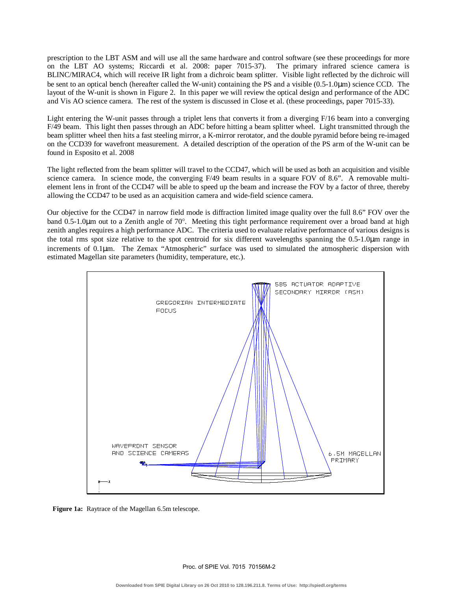prescription to the LBT ASM and will use all the same hardware and control software (see these proceedings for more on the LBT AO systems; Riccardi et al. 2008: paper 7015-37). The primary infrared science camera is BLINC/MIRAC4, which will receive IR light from a dichroic beam splitter. Visible light reflected by the dichroic will be sent to an optical bench (hereafter called the W-unit) containing the PS and a visible (0.5-1.0µm) science CCD. The layout of the W-unit is shown in Figure 2. In this paper we will review the optical design and performance of the ADC and Vis AO science camera. The rest of the system is discussed in Close et al. (these proceedings, paper 7015-33).

Light entering the W-unit passes through a triplet lens that converts it from a diverging F/16 beam into a converging F/49 beam. This light then passes through an ADC before hitting a beam splitter wheel. Light transmitted through the beam splitter wheel then hits a fast steeling mirror, a K-mirror rerotator, and the double pyramid before being re-imaged on the CCD39 for wavefront measurement. A detailed description of the operation of the PS arm of the W-unit can be found in Esposito et al. 2008

The light reflected from the beam splitter will travel to the CCD47, which will be used as both an acquisition and visible science camera. In science mode, the converging F/49 beam results in a square FOV of 8.6". A removable multielement lens in front of the CCD47 will be able to speed up the beam and increase the FOV by a factor of three, thereby allowing the CCD47 to be used as an acquisition camera and wide-field science camera.

Our objective for the CCD47 in narrow field mode is diffraction limited image quality over the full 8.6" FOV over the band 0.5-1.0 $\mu$ m out to a Zenith angle of 70 $^{\circ}$ . Meeting this tight performance requirement over a broad band at high zenith angles requires a high performance ADC. The criteria used to evaluate relative performance of various designs is the total rms spot size relative to the spot centroid for six different wavelengths spanning the 0.5-1.0µm range in increments of 0.1µm. The Zemax "Atmospheric" surface was used to simulated the atmospheric dispersion with estimated Magellan site parameters (humidity, temperature, etc.).



**Figure 1a:** Raytrace of the Magellan 6.5m telescope.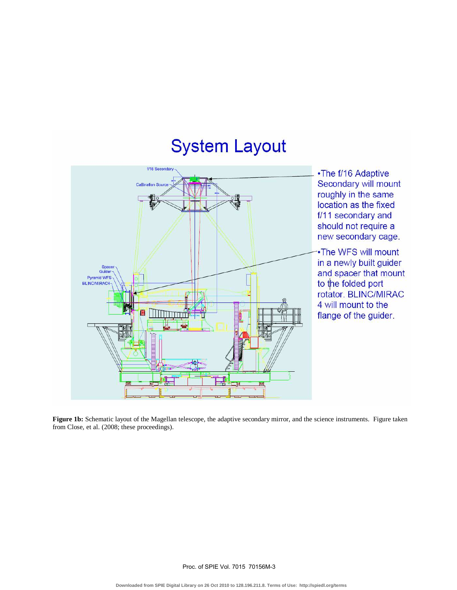# System Layout



•The f/16 Adaptive Secondary will mount roughly in the same location as the fixed f/11 secondary and should not require a new secondary cage.

-•The WFS will mount in a newly built guider and spacer that mount to the folded port rotator. BLINC/MIRAC 4 will mount to the flange of the guider.

**Figure 1b:** Schematic layout of the Magellan telescope, the adaptive secondary mirror, and the science instruments. Figure taken from Close, et al. (2008; these proceedings).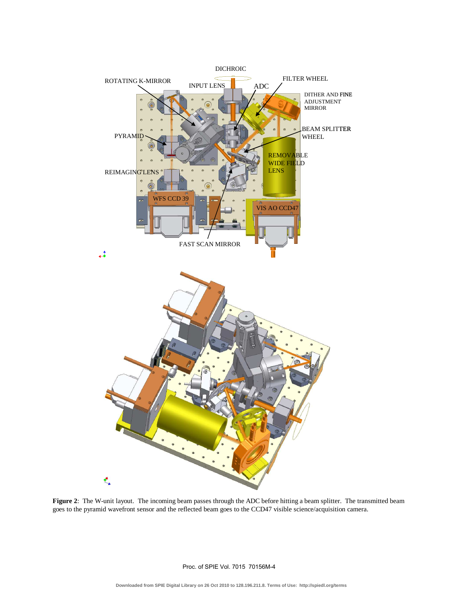

**Figure 2**: The W-unit layout. The incoming beam passes through the ADC before hitting a beam splitter. The transmitted beam goes to the pyramid wavefront sensor and the reflected beam goes to the CCD47 visible science/acquisition camera.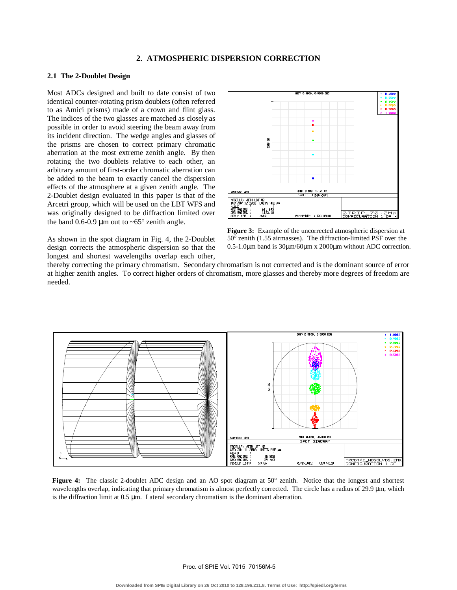# **2. ATMOSPHERIC DISPERSION CORRECTION**

#### **2.1 The 2-Doublet Design**

Most ADCs designed and built to date consist of two identical counter-rotating prism doublets (often referred to as Amici prisms) made of a crown and flint glass. The indices of the two glasses are matched as closely as possible in order to avoid steering the beam away from its incident direction. The wedge angles and glasses of the prisms are chosen to correct primary chromatic aberration at the most extreme zenith angle. By then rotating the two doublets relative to each other, an arbitrary amount of first-order chromatic aberration can be added to the beam to exactly cancel the dispersion effects of the atmosphere at a given zenith angle. The 2-Doublet design evaluated in this paper is that of the Arcetri group, which will be used on the LBT WFS and was originally designed to be diffraction limited over the band 0.6-0.9  $\mu$ m out to ~65° zenith angle.

As shown in the spot diagram in Fig. 4, the 2-Doublet design corrects the atmospheric dispersion so that the longest and shortest wavelengths overlap each other,



**Figure 3:** Example of the uncorrected atmospheric dispersion at  $50^\circ$  zenith (1.55 airmasses). The diffraction-limited PSF over the 0.5-1.0µm band is 30µm/60µm x 2000µm without ADC correction.

thereby correcting the primary chromatism. Secondary chromatism is not corrected and is the dominant source of error at higher zenith angles. To correct higher orders of chromatism, more glasses and thereby more degrees of freedom are needed.



**Figure 4:** The classic 2-doublet ADC design and an AO spot diagram at 50° zenith. Notice that the longest and shortest wavelengths overlap, indicating that primary chromatism is almost perfectly corrected. The circle has a radius of 29.9  $\mu$ m, which is the diffraction limit at 0.5 µm. Lateral secondary chromatism is the dominant aberration.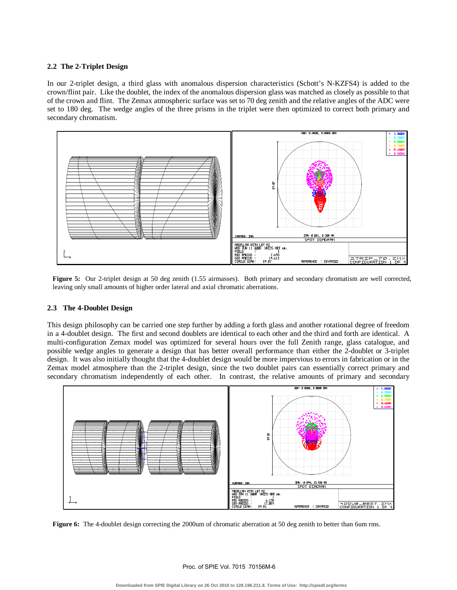#### **2.2 The 2-Triplet Design**

In our 2-triplet design, a third glass with anomalous dispersion characteristics (Schott's N-KZFS4) is added to the crown/flint pair. Like the doublet, the index of the anomalous dispersion glass was matched as closely as possible to that of the crown and flint. The Zemax atmospheric surface was set to 70 deg zenith and the relative angles of the ADC were set to 180 deg. The wedge angles of the three prisms in the triplet were then optimized to correct both primary and secondary chromatism.



Figure 5: Our 2-triplet design at 50 deg zenith (1.55 airmasses). Both primary and secondary chromatism are well corrected, leaving only small amounts of higher order lateral and axial chromatic aberrations.

#### **2.3 The 4-Doublet Design**

This design philosophy can be carried one step further by adding a forth glass and another rotational degree of freedom in a 4-doublet design. The first and second doublets are identical to each other and the third and forth are identical. A multi-configuration Zemax model was optimized for several hours over the full Zenith range, glass catalogue, and possible wedge angles to generate a design that has better overall performance than either the 2-doublet or 3-triplet design. It was also initially thought that the 4-doublet design would be more impervious to errors in fabrication or in the Zemax model atmosphere than the 2-triplet design, since the two doublet pairs can essentially correct primary and secondary chromatism independently of each other. In contrast, the relative amounts of primary and secondary



**Figure 6:** The 4-doublet design correcting the 2000um of chromatic aberration at 50 deg zenith to better than 6um rms.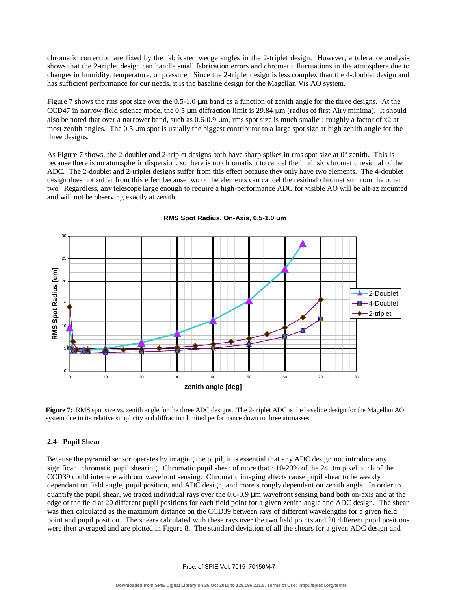chromatic correction are fixed by the fabricated wedge angles in the 2-triplet design. However, a tolerance analysis shows that the 2-triplet design can handle small fabrication errors and chromatic fluctuations in the atmosphere due to changes in humidity, temperature, or pressure. Since the 2-triplet design is less complex than the 4-doublet design and has sufficient performance for our needs, it is the baseline design for the Magellan Vis AO system.

Figure 7 shows the rms spot size over the 0.5-1.0 µm band as a function of zenith angle for the three designs. At the CCD47 in narrow-field science mode, the  $0.5 \mu$ m diffraction limit is 29.84  $\mu$ m (radius of first Airy minima). It should also be noted that over a narrower band, such as  $0.6{\text -}0.9 \,\mu\text{m}$ , rms spot size is much smaller: roughly a factor of x2 at most zenith angles. The 0.5 µm spot is usually the biggest contributor to a large spot size at high zenith angle for the three designs.

As Figure 7 shows, the 2-doublet and 2-triplet designs both have sharp spikes in rms spot size at  $0^{\circ}$  zenith. This is because there is no atmospheric dispersion, so there is no chromatism to cancel the intrinsic chromatic residual of the ADC. The 2-doublet and 2-triplet designs suffer from this effect because they only have two elements. The 4-doublet design does not suffer from this effect because two of the elements can cancel the residual chromatism from the other two. Regardless, any telescope large enough to require a high-performance ADC for visible AO will be alt-az mounted and will not be observing exactly at zenith.



**RMS Spot Radius, On-Axis, 0.5-1.0 um**

**Figure 7:** RMS spot size vs. zenith angle for the three ADC designs. The 2-triplet ADC is the baseline design for the Magellan AO system due to its relative simplicity and diffraction limited performance down to three airmasses.

## **2.4 Pupil Shear**

Because the pyramid sensor operates by imaging the pupil, it is essential that any ADC design not introduce any significant chromatic pupil shearing. Chromatic pupil shear of more that  $\sim$ 10-20% of the 24 µm pixel pitch of the CCD39 could interfere with our wavefront sensing. Chromatic imaging effects cause pupil shear to be weakly dependant on field angle, pupil position, and ADC design, and more strongly dependant on zenith angle. In order to quantify the pupil shear, we traced individual rays over the 0.6-0.9 µm wavefront sensing band both on-axis and at the edge of the field at 20 different pupil positions for each field point for a given zenith angle and ADC design. The shear was then calculated as the maximum distance on the CCD39 between rays of different wavelengths for a given field point and pupil position. The shears calculated with these rays over the two field points and 20 different pupil positions were then averaged and are plotted in Figure 8. The standard deviation of all the shears for a given ADC design and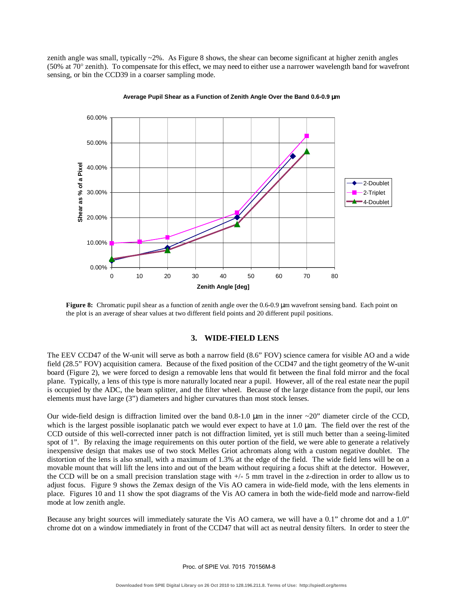zenith angle was small, typically ~2%. As Figure 8 shows, the shear can become significant at higher zenith angles (50% at 70 $^{\circ}$  zenith). To compensate for this effect, we may need to either use a narrower wavelength band for wavefront sensing, or bin the CCD39 in a coarser sampling mode.



**Average Pupil Shear as a Function of Zenith Angle Over the Band 0.6-0.9** µ**m**

**Figure 8:** Chromatic pupil shear as a function of zenith angle over the 0.6-0.9 µm wavefront sensing band. Each point on the plot is an average of shear values at two different field points and 20 different pupil positions.

#### **3. WIDE-FIELD LENS**

The EEV CCD47 of the W-unit will serve as both a narrow field (8.6" FOV) science camera for visible AO and a wide field (28.5" FOV) acquisition camera. Because of the fixed position of the CCD47 and the tight geometry of the W-unit board (Figure 2), we were forced to design a removable lens that would fit between the final fold mirror and the focal plane. Typically, a lens of this type is more naturally located near a pupil. However, all of the real estate near the pupil is occupied by the ADC, the beam splitter, and the filter wheel. Because of the large distance from the pupil, our lens elements must have large (3") diameters and higher curvatures than most stock lenses.

Our wide-field design is diffraction limited over the band  $0.8-1.0 \mu m$  in the inner  $\sim 20$ " diameter circle of the CCD, which is the largest possible isoplanatic patch we would ever expect to have at  $1.0 \mu m$ . The field over the rest of the CCD outside of this well-corrected inner patch is not diffraction limited, yet is still much better than a seeing-limited spot of 1". By relaxing the image requirements on this outer portion of the field, we were able to generate a relatively inexpensive design that makes use of two stock Melles Griot achromats along with a custom negative doublet. The distortion of the lens is also small, with a maximum of 1.3% at the edge of the field. The wide field lens will be on a movable mount that will lift the lens into and out of the beam without requiring a focus shift at the detector. However, the CCD will be on a small precision translation stage with  $+/-$  5 mm travel in the z-direction in order to allow us to adjust focus. Figure 9 shows the Zemax design of the Vis AO camera in wide-field mode, with the lens elements in place. Figures 10 and 11 show the spot diagrams of the Vis AO camera in both the wide-field mode and narrow-field mode at low zenith angle.

Because any bright sources will immediately saturate the Vis AO camera, we will have a 0.1" chrome dot and a 1.0" chrome dot on a window immediately in front of the CCD47 that will act as neutral density filters. In order to steer the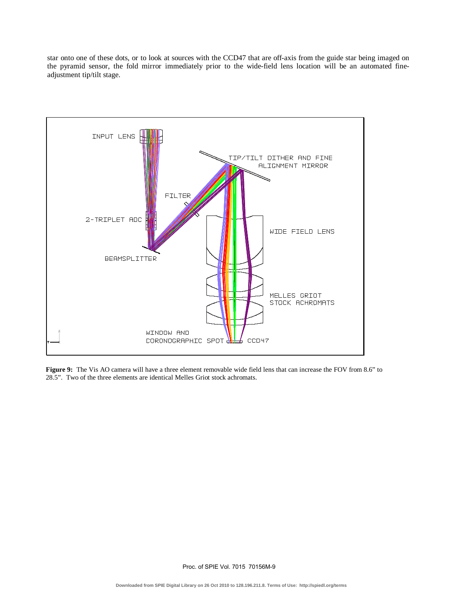star onto one of these dots, or to look at sources with the CCD47 that are off-axis from the guide star being imaged on the pyramid sensor, the fold mirror immediately prior to the wide-field lens location will be an automated fineadjustment tip/tilt stage.



**Figure 9:** The Vis AO camera will have a three element removable wide field lens that can increase the FOV from 8.6" to 28.5". Two of the three elements are identical Melles Griot stock achromats.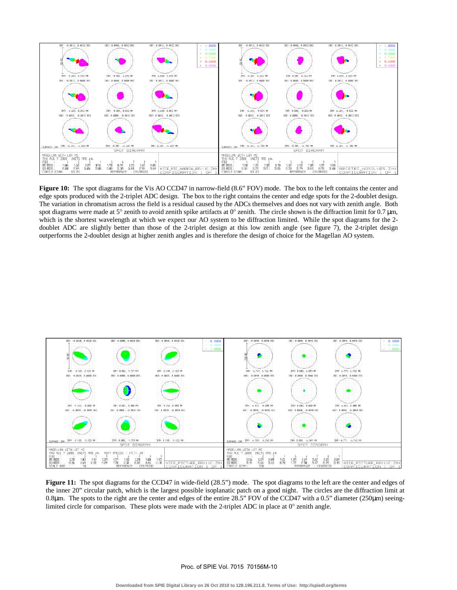

**Figure 10:** The spot diagrams for the Vis AO CCD47 in narrow-field (8.6" FOV) mode. The box to the left contains the center and edge spots produced with the 2-triplet ADC design. The box to the right contains the center and edge spots for the 2-doublet design. The variation in chromatism across the field is a residual caused by the ADCs themselves and does not vary with zenith angle. Both spot diagrams were made at  $5^\circ$  zenith to avoid zenith spike artifacts at 0 $^\circ$  zenith. The circle shown is the diffraction limit for 0.7 µm, which is the shortest wavelength at which we expect our AO system to be diffraction limited. While the spot diagrams for the 2 doublet ADC are slightly better than those of the 2-triplet design at this low zenith angle (see figure 7), the 2-triplet design outperforms the 2-doublet design at higher zenith angles and is therefore the design of choice for the Magellan AO system.



**Figure 11:** The spot diagrams for the CCD47 in wide-field (28.5") mode. The spot diagrams to the left are the center and edges of the inner 20" circular patch, which is the largest possible isoplanatic patch on a good night. The circles are the diffraction limit at 0.8µm. The spots to the right are the center and edges of the entire 28.5" FOV of the CCD47 with a 0.5" diameter (250µm) seeinglimited circle for comparison. These plots were made with the 2-triplet ADC in place at  $0^{\circ}$  zenith angle.